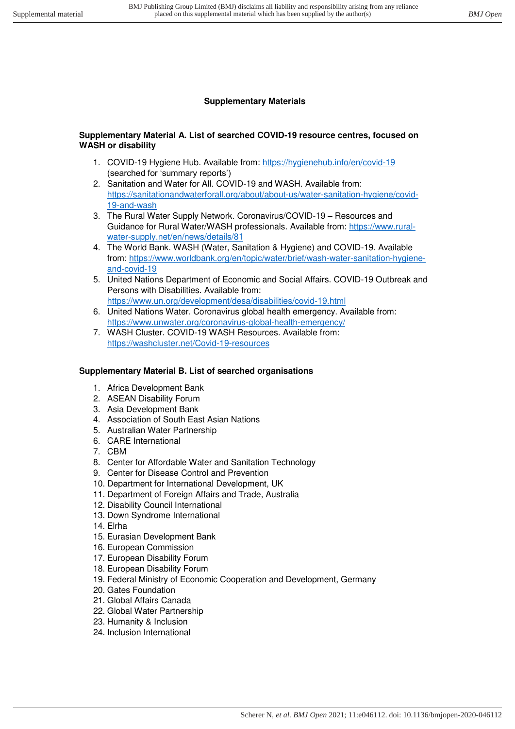## **Supplementary Materials**

## **Supplementary Material A. List of searched COVID-19 resource centres, focused on WASH or disability**

- 1. COVID-19 Hygiene Hub. Available from:<https://hygienehub.info/en/covid-19> (searched for 'summary reports')
- 2. Sanitation and Water for All. COVID-19 and WASH. Available from: [https://sanitationandwaterforall.org/about/about-us/water-sanitation-hygiene/covid-](https://sanitationandwaterforall.org/about/about-us/water-sanitation-hygiene/covid-19-and-wash)[19-and-wash](https://sanitationandwaterforall.org/about/about-us/water-sanitation-hygiene/covid-19-and-wash)
- 3. The Rural Water Supply Network. Coronavirus/COVID-19 Resources and Guidance for Rural Water/WASH professionals. Available from: [https://www.rural](https://www.rural-water-supply.net/en/news/details/81)[water-supply.net/en/news/details/81](https://www.rural-water-supply.net/en/news/details/81)
- 4. The World Bank. WASH (Water, Sanitation & Hygiene) and COVID-19. Available from: [https://www.worldbank.org/en/topic/water/brief/wash-water-sanitation-hygiene](https://www.worldbank.org/en/topic/water/brief/wash-water-sanitation-hygiene-and-covid-19)[and-covid-19](https://www.worldbank.org/en/topic/water/brief/wash-water-sanitation-hygiene-and-covid-19)
- 5. United Nations Department of Economic and Social Affairs. COVID-19 Outbreak and Persons with Disabilities. Available from: <https://www.un.org/development/desa/disabilities/covid-19.html>
- 6. United Nations Water. Coronavirus global health emergency. Available from: <https://www.unwater.org/coronavirus-global-health-emergency/>
- 7. WASH Cluster. COVID-19 WASH Resources. Available from: <https://washcluster.net/Covid-19-resources>

## **Supplementary Material B. List of searched organisations**

- 1. Africa Development Bank
- 2. ASEAN Disability Forum
- 3. Asia Development Bank
- 4. Association of South East Asian Nations
- 5. Australian Water Partnership
- 6. CARE International
- 7. CBM
- 8. Center for Affordable Water and Sanitation Technology
- 9. Center for Disease Control and Prevention
- 10. Department for International Development, UK
- 11. Department of Foreign Affairs and Trade, Australia
- 12. Disability Council International
- 13. Down Syndrome International
- 14. Elrha
- 15. Eurasian Development Bank
- 16. European Commission
- 17. European Disability Forum
- 18. European Disability Forum
- 19. Federal Ministry of Economic Cooperation and Development, Germany
- 20. Gates Foundation
- 21. Global Affairs Canada
- 22. Global Water Partnership
- 23. Humanity & Inclusion
- 24. Inclusion International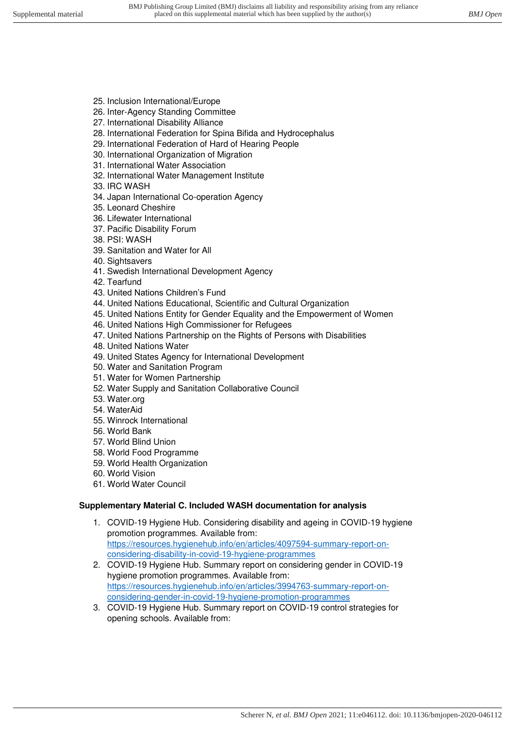- 25. Inclusion International/Europe
- 26. Inter-Agency Standing Committee
- 27. International Disability Alliance
- 28. International Federation for Spina Bifida and Hydrocephalus
- 29. International Federation of Hard of Hearing People
- 30. International Organization of Migration
- 31. International Water Association
- 32. International Water Management Institute
- 33. IRC WASH
- 34. Japan International Co-operation Agency
- 35. Leonard Cheshire
- 36. Lifewater International
- 37. Pacific Disability Forum
- 38. PSI: WASH
- 39. Sanitation and Water for All
- 40. Sightsavers
- 41. Swedish International Development Agency
- 42. Tearfund
- 43. United Nations Children's Fund
- 44. United Nations Educational, Scientific and Cultural Organization
- 45. United Nations Entity for Gender Equality and the Empowerment of Women
- 46. United Nations High Commissioner for Refugees
- 47. United Nations Partnership on the Rights of Persons with Disabilities
- 48. United Nations Water
- 49. United States Agency for International Development
- 50. Water and Sanitation Program
- 51. Water for Women Partnership
- 52. Water Supply and Sanitation Collaborative Council
- 53. Water.org
- 54. WaterAid
- 55. Winrock International
- 56. World Bank
- 57. World Blind Union
- 58. World Food Programme
- 59. World Health Organization
- 60. World Vision
- 61. World Water Council

## **Supplementary Material C. Included WASH documentation for analysis**

- 1. COVID-19 Hygiene Hub. Considering disability and ageing in COVID-19 hygiene promotion programmes. Available from: [https://resources.hygienehub.info/en/articles/4097594-summary-report-on](https://resources.hygienehub.info/en/articles/4097594-summary-report-on-considering-disability-in-covid-19-hygiene-programmes)[considering-disability-in-covid-19-hygiene-programmes](https://resources.hygienehub.info/en/articles/4097594-summary-report-on-considering-disability-in-covid-19-hygiene-programmes)
- 2. COVID-19 Hygiene Hub. Summary report on considering gender in COVID-19 hygiene promotion programmes. Available from: [https://resources.hygienehub.info/en/articles/3994763-summary-report-on](https://resources.hygienehub.info/en/articles/3994763-summary-report-on-considering-gender-in-covid-19-hygiene-promotion-programmes)[considering-gender-in-covid-19-hygiene-promotion-programmes](https://resources.hygienehub.info/en/articles/3994763-summary-report-on-considering-gender-in-covid-19-hygiene-promotion-programmes)
- 3. COVID-19 Hygiene Hub. Summary report on COVID-19 control strategies for opening schools. Available from: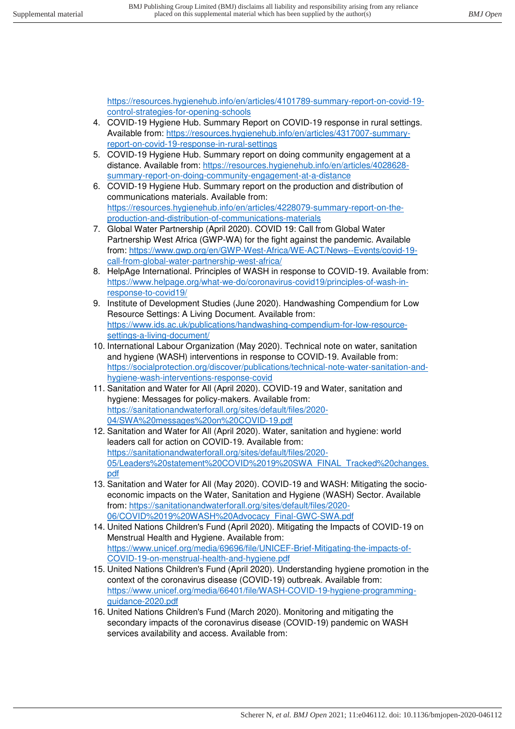[https://resources.hygienehub.info/en/articles/4101789-summary-report-on-covid-19](https://resources.hygienehub.info/en/articles/4101789-summary-report-on-covid-19-control-strategies-for-opening-schools) [control-strategies-for-opening-schools](https://resources.hygienehub.info/en/articles/4101789-summary-report-on-covid-19-control-strategies-for-opening-schools) 

- 4. COVID-19 Hygiene Hub. Summary Report on COVID-19 response in rural settings. Available from: [https://resources.hygienehub.info/en/articles/4317007-summary](https://resources.hygienehub.info/en/articles/4317007-summary-report-on-covid-19-response-in-rural-settings)[report-on-covid-19-response-in-rural-settings](https://resources.hygienehub.info/en/articles/4317007-summary-report-on-covid-19-response-in-rural-settings)
- 5. COVID-19 Hygiene Hub. Summary report on doing community engagement at a distance. Available from: [https://resources.hygienehub.info/en/articles/4028628](https://resources.hygienehub.info/en/articles/4028628-summary-report-on-doing-community-engagement-at-a-distance) [summary-report-on-doing-community-engagement-at-a-distance](https://resources.hygienehub.info/en/articles/4028628-summary-report-on-doing-community-engagement-at-a-distance)
- 6. COVID-19 Hygiene Hub. Summary report on the production and distribution of communications materials. Available from: [https://resources.hygienehub.info/en/articles/4228079-summary-report-on-the](https://resources.hygienehub.info/en/articles/4228079-summary-report-on-the-production-and-distribution-of-communications-materials)[production-and-distribution-of-communications-materials](https://resources.hygienehub.info/en/articles/4228079-summary-report-on-the-production-and-distribution-of-communications-materials)
- 7. Global Water Partnership (April 2020). COVID 19: Call from Global Water Partnership West Africa (GWP-WA) for the fight against the pandemic. Available from: [https://www.gwp.org/en/GWP-West-Africa/WE-ACT/News--Events/covid-19](https://www.gwp.org/en/GWP-West-Africa/WE-ACT/News--Events/covid-19-call-from-global-water-partnership-west-africa/) [call-from-global-water-partnership-west-africa/](https://www.gwp.org/en/GWP-West-Africa/WE-ACT/News--Events/covid-19-call-from-global-water-partnership-west-africa/)
- 8. HelpAge International. Principles of WASH in response to COVID-19. Available from: [https://www.helpage.org/what-we-do/coronavirus-covid19/principles-of-wash-in](https://www.helpage.org/what-we-do/coronavirus-covid19/principles-of-wash-in-response-to-covid19/)[response-to-covid19/](https://www.helpage.org/what-we-do/coronavirus-covid19/principles-of-wash-in-response-to-covid19/)
- 9. Institute of Development Studies (June 2020). Handwashing Compendium for Low Resource Settings: A Living Document. Available from: [https://www.ids.ac.uk/publications/handwashing-compendium-for-low-resource](https://www.ids.ac.uk/publications/handwashing-compendium-for-low-resource-settings-a-living-document/)[settings-a-living-document/](https://www.ids.ac.uk/publications/handwashing-compendium-for-low-resource-settings-a-living-document/)
- 10. International Labour Organization (May 2020). Technical note on water, sanitation and hygiene (WASH) interventions in response to COVID-19. Available from: [https://socialprotection.org/discover/publications/technical-note-water-sanitation-and](https://socialprotection.org/discover/publications/technical-note-water-sanitation-and-hygiene-wash-interventions-response-covid)[hygiene-wash-interventions-response-covid](https://socialprotection.org/discover/publications/technical-note-water-sanitation-and-hygiene-wash-interventions-response-covid)
- 11. Sanitation and Water for All (April 2020). COVID-19 and Water, sanitation and hygiene: Messages for policy-makers. Available from: [https://sanitationandwaterforall.org/sites/default/files/2020-](https://sanitationandwaterforall.org/sites/default/files/2020-04/SWA%20messages%20on%20COVID-19.pdf) [04/SWA%20messages%20on%20COVID-19.pdf](https://sanitationandwaterforall.org/sites/default/files/2020-04/SWA%20messages%20on%20COVID-19.pdf)
- 12. Sanitation and Water for All (April 2020). Water, sanitation and hygiene: world leaders call for action on COVID-19. Available from: [https://sanitationandwaterforall.org/sites/default/files/2020-](https://sanitationandwaterforall.org/sites/default/files/2020-05/Leaders%20statement%20COVID%2019%20SWA_FINAL_Tracked%20changes.pdf) [05/Leaders%20statement%20COVID%2019%20SWA\\_FINAL\\_Tracked%20changes.](https://sanitationandwaterforall.org/sites/default/files/2020-05/Leaders%20statement%20COVID%2019%20SWA_FINAL_Tracked%20changes.pdf) [pdf](https://sanitationandwaterforall.org/sites/default/files/2020-05/Leaders%20statement%20COVID%2019%20SWA_FINAL_Tracked%20changes.pdf)
- 13. Sanitation and Water for All (May 2020). COVID-19 and WASH: Mitigating the socioeconomic impacts on the Water, Sanitation and Hygiene (WASH) Sector. Available from: [https://sanitationandwaterforall.org/sites/default/files/2020-](https://sanitationandwaterforall.org/sites/default/files/2020-06/COVID%2019%20WASH%20Advocacy_Final-GWC-SWA.pdf) [06/COVID%2019%20WASH%20Advocacy\\_Final-GWC-SWA.pdf](https://sanitationandwaterforall.org/sites/default/files/2020-06/COVID%2019%20WASH%20Advocacy_Final-GWC-SWA.pdf)
- 14. United Nations Children's Fund (April 2020). Mitigating the Impacts of COVID-19 on Menstrual Health and Hygiene. Available from: [https://www.unicef.org/media/69696/file/UNICEF-Brief-Mitigating-the-impacts-of-](https://www.unicef.org/media/69696/file/UNICEF-Brief-Mitigating-the-impacts-of-COVID-19-on-menstrual-health-and-hygiene.pdf)[COVID-19-on-menstrual-health-and-hygiene.pdf](https://www.unicef.org/media/69696/file/UNICEF-Brief-Mitigating-the-impacts-of-COVID-19-on-menstrual-health-and-hygiene.pdf)
- 15. United Nations Children's Fund (April 2020). Understanding hygiene promotion in the context of the coronavirus disease (COVID-19) outbreak. Available from: [https://www.unicef.org/media/66401/file/WASH-COVID-19-hygiene-programming](https://www.unicef.org/media/66401/file/WASH-COVID-19-hygiene-programming-guidance-2020.pdf)[guidance-2020.pdf](https://www.unicef.org/media/66401/file/WASH-COVID-19-hygiene-programming-guidance-2020.pdf)
- 16. United Nations Children's Fund (March 2020). Monitoring and mitigating the secondary impacts of the coronavirus disease (COVID-19) pandemic on WASH services availability and access. Available from: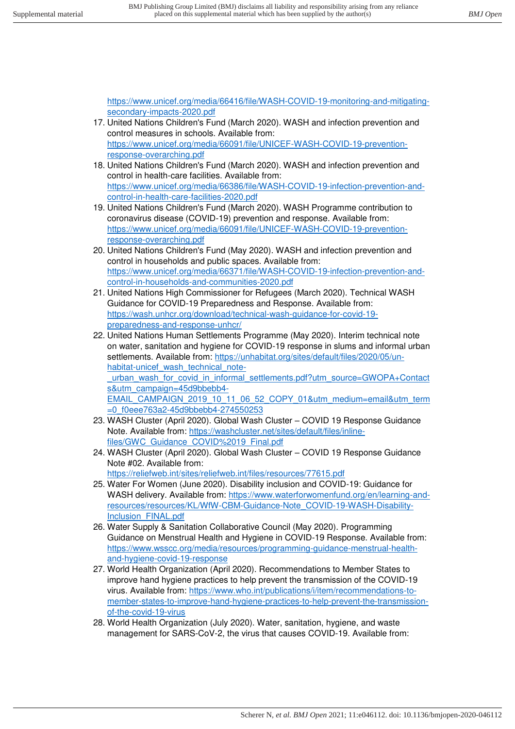[https://www.unicef.org/media/66416/file/WASH-COVID-19-monitoring-and-mitigating](https://www.unicef.org/media/66416/file/WASH-COVID-19-monitoring-and-mitigating-secondary-impacts-2020.pdf)[secondary-impacts-2020.pdf](https://www.unicef.org/media/66416/file/WASH-COVID-19-monitoring-and-mitigating-secondary-impacts-2020.pdf) 

- 17. United Nations Children's Fund (March 2020). WASH and infection prevention and control measures in schools. Available from: [https://www.unicef.org/media/66091/file/UNICEF-WASH-COVID-19-prevention](https://www.unicef.org/media/66091/file/UNICEF-WASH-COVID-19-prevention-response-overarching.pdf)[response-overarching.pdf](https://www.unicef.org/media/66091/file/UNICEF-WASH-COVID-19-prevention-response-overarching.pdf)
- 18. United Nations Children's Fund (March 2020). WASH and infection prevention and control in health-care facilities. Available from: [https://www.unicef.org/media/66386/file/WASH-COVID-19-infection-prevention-and](https://www.unicef.org/media/66386/file/WASH-COVID-19-infection-prevention-and-control-in-health-care-facilities-2020.pdf)[control-in-health-care-facilities-2020.pdf](https://www.unicef.org/media/66386/file/WASH-COVID-19-infection-prevention-and-control-in-health-care-facilities-2020.pdf)
- 19. United Nations Children's Fund (March 2020). WASH Programme contribution to coronavirus disease (COVID-19) prevention and response. Available from: [https://www.unicef.org/media/66091/file/UNICEF-WASH-COVID-19-prevention](https://www.unicef.org/media/66091/file/UNICEF-WASH-COVID-19-prevention-response-overarching.pdf)[response-overarching.pdf](https://www.unicef.org/media/66091/file/UNICEF-WASH-COVID-19-prevention-response-overarching.pdf)
- 20. United Nations Children's Fund (May 2020). WASH and infection prevention and control in households and public spaces. Available from: [https://www.unicef.org/media/66371/file/WASH-COVID-19-infection-prevention-and](https://www.unicef.org/media/66371/file/WASH-COVID-19-infection-prevention-and-control-in-households-and-communities-2020.pdf)[control-in-households-and-communities-2020.pdf](https://www.unicef.org/media/66371/file/WASH-COVID-19-infection-prevention-and-control-in-households-and-communities-2020.pdf)
- 21. United Nations High Commissioner for Refugees (March 2020). Technical WASH Guidance for COVID-19 Preparedness and Response. Available from: [https://wash.unhcr.org/download/technical-wash-guidance-for-covid-19](https://wash.unhcr.org/download/technical-wash-guidance-for-covid-19-preparedness-and-response-unhcr/) [preparedness-and-response-unhcr/](https://wash.unhcr.org/download/technical-wash-guidance-for-covid-19-preparedness-and-response-unhcr/)
- 22. United Nations Human Settlements Programme (May 2020). Interim technical note on water, sanitation and hygiene for COVID-19 response in slums and informal urban settlements. Available from: [https://unhabitat.org/sites/default/files/2020/05/un](https://unhabitat.org/sites/default/files/2020/05/un-habitat-unicef_wash_technical_note-_urban_wash_for_covid_in_informal_settlements.pdf?utm_source=GWOPA+Contacts&utm_campaign=45d9bbebb4-EMAIL_CAMPAIGN_2019_10_11_06_52_COPY_01&utm_medium=email&utm_term=0_f0eee763a2-45d9bbebb4-274550253)habitat-unicef wash technical noteurban\_wash\_for\_covid\_in\_informal\_settlements.pdf?utm\_source=GWOPA+Contact

[s&utm\\_campaign=45d9bbebb4-](https://unhabitat.org/sites/default/files/2020/05/un-habitat-unicef_wash_technical_note-_urban_wash_for_covid_in_informal_settlements.pdf?utm_source=GWOPA+Contacts&utm_campaign=45d9bbebb4-EMAIL_CAMPAIGN_2019_10_11_06_52_COPY_01&utm_medium=email&utm_term=0_f0eee763a2-45d9bbebb4-274550253) [EMAIL\\_CAMPAIGN\\_2019\\_10\\_11\\_06\\_52\\_COPY\\_01&utm\\_medium=email&utm\\_term](https://unhabitat.org/sites/default/files/2020/05/un-habitat-unicef_wash_technical_note-_urban_wash_for_covid_in_informal_settlements.pdf?utm_source=GWOPA+Contacts&utm_campaign=45d9bbebb4-EMAIL_CAMPAIGN_2019_10_11_06_52_COPY_01&utm_medium=email&utm_term=0_f0eee763a2-45d9bbebb4-274550253) [=0\\_f0eee763a2-45d9bbebb4-274550253](https://unhabitat.org/sites/default/files/2020/05/un-habitat-unicef_wash_technical_note-_urban_wash_for_covid_in_informal_settlements.pdf?utm_source=GWOPA+Contacts&utm_campaign=45d9bbebb4-EMAIL_CAMPAIGN_2019_10_11_06_52_COPY_01&utm_medium=email&utm_term=0_f0eee763a2-45d9bbebb4-274550253) 

- 23. WASH Cluster (April 2020). Global Wash Cluster COVID 19 Response Guidance Note. Available from: [https://washcluster.net/sites/default/files/inline](https://washcluster.net/sites/default/files/inline-files/GWC_Guidance_COVID%2019_Final.pdf)files/GWC\_Guidance\_COVID%2019\_Final.pdf
- 24. WASH Cluster (April 2020). Global Wash Cluster COVID 19 Response Guidance Note #02. Available from: <https://reliefweb.int/sites/reliefweb.int/files/resources/77615.pdf>
- 25. Water For Women (June 2020). Disability inclusion and COVID-19: Guidance for WASH delivery. Available from: [https://www.waterforwomenfund.org/en/learning-and](https://www.waterforwomenfund.org/en/learning-and-resources/resources/KL/WfW-CBM-Guidance-Note_COVID-19-WASH-Disability-Inclusion_FINAL.pdf)[resources/resources/KL/WfW-CBM-Guidance-Note\\_COVID-19-WASH-Disability-](https://www.waterforwomenfund.org/en/learning-and-resources/resources/KL/WfW-CBM-Guidance-Note_COVID-19-WASH-Disability-Inclusion_FINAL.pdf)Inclusion\_FINAL.pdf
- 26. Water Supply & Sanitation Collaborative Council (May 2020). Programming Guidance on Menstrual Health and Hygiene in COVID-19 Response. Available from: [https://www.wsscc.org/media/resources/programming-guidance-menstrual-health](https://www.wsscc.org/media/resources/programming-guidance-menstrual-health-and-hygiene-covid-19-response)[and-hygiene-covid-19-response](https://www.wsscc.org/media/resources/programming-guidance-menstrual-health-and-hygiene-covid-19-response)
- 27. World Health Organization (April 2020). Recommendations to Member States to improve hand hygiene practices to help prevent the transmission of the COVID-19 virus. Available from: [https://www.who.int/publications/i/item/recommendations-to](https://www.who.int/publications/i/item/recommendations-to-member-states-to-improve-hand-hygiene-practices-to-help-prevent-the-transmission-of-the-covid-19-virus)[member-states-to-improve-hand-hygiene-practices-to-help-prevent-the-transmission](https://www.who.int/publications/i/item/recommendations-to-member-states-to-improve-hand-hygiene-practices-to-help-prevent-the-transmission-of-the-covid-19-virus)[of-the-covid-19-virus](https://www.who.int/publications/i/item/recommendations-to-member-states-to-improve-hand-hygiene-practices-to-help-prevent-the-transmission-of-the-covid-19-virus)
- 28. World Health Organization (July 2020). Water, sanitation, hygiene, and waste management for SARS-CoV-2, the virus that causes COVID-19. Available from: